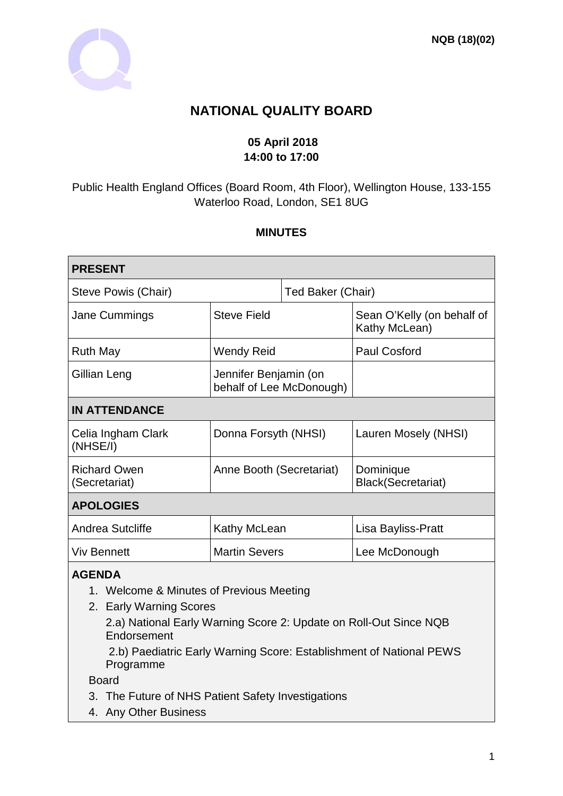

# **NATIONAL QUALITY BOARD**

### **05 April 2018 14:00 to 17:00**

Public Health England Offices (Board Room, 4th Floor), Wellington House, 133-155 Waterloo Road, London, SE1 8UG

#### **MINUTES**

| <b>PRESENT</b>                                                                                                                                                           |                                                   |                   |                                             |
|--------------------------------------------------------------------------------------------------------------------------------------------------------------------------|---------------------------------------------------|-------------------|---------------------------------------------|
| Steve Powis (Chair)                                                                                                                                                      |                                                   | Ted Baker (Chair) |                                             |
| Jane Cummings                                                                                                                                                            | <b>Steve Field</b>                                |                   | Sean O'Kelly (on behalf of<br>Kathy McLean) |
| <b>Ruth May</b>                                                                                                                                                          | <b>Wendy Reid</b>                                 |                   | <b>Paul Cosford</b>                         |
| Gillian Leng                                                                                                                                                             | Jennifer Benjamin (on<br>behalf of Lee McDonough) |                   |                                             |
| <b>IN ATTENDANCE</b>                                                                                                                                                     |                                                   |                   |                                             |
| Celia Ingham Clark<br>(NHSE/I)                                                                                                                                           | Donna Forsyth (NHSI)                              |                   | Lauren Mosely (NHSI)                        |
| <b>Richard Owen</b><br>(Secretariat)                                                                                                                                     | Anne Booth (Secretariat)                          |                   | Dominique<br><b>Black(Secretariat)</b>      |
| <b>APOLOGIES</b>                                                                                                                                                         |                                                   |                   |                                             |
| Andrea Sutcliffe                                                                                                                                                         | Kathy McLean                                      |                   | Lisa Bayliss-Pratt                          |
| <b>Viv Bennett</b>                                                                                                                                                       | <b>Martin Severs</b>                              |                   | Lee McDonough                               |
| <b>AGENDA</b><br>1. Welcome & Minutes of Previous Meeting<br>2. Early Warning Scores<br>2.a) National Early Warning Score 2: Update on Roll-Out Since NQB<br>Endorsement |                                                   |                   |                                             |

2.b) Paediatric Early Warning Score: Establishment of National PEWS Programme

Board

- 3. The Future of NHS Patient Safety Investigations
- 4. Any Other Business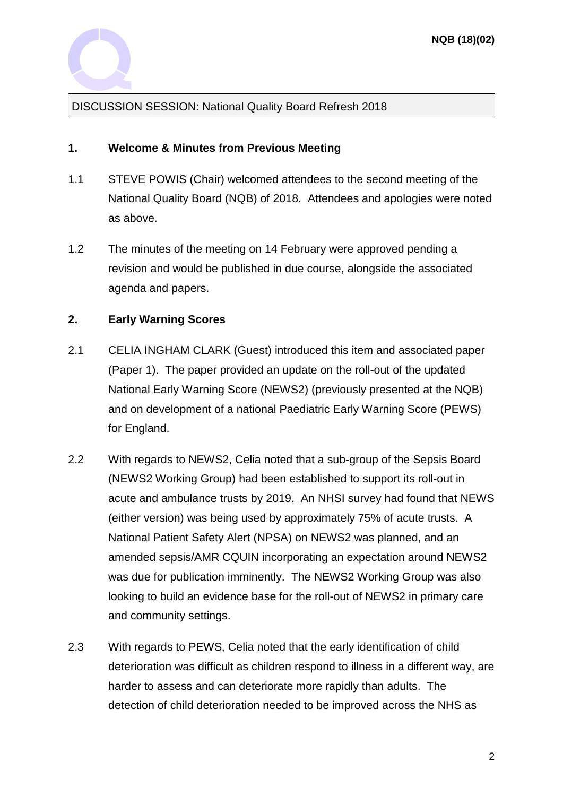

DISCUSSION SESSION: National Quality Board Refresh 2018

### **1. Welcome & Minutes from Previous Meeting**

- 1.1 STEVE POWIS (Chair) welcomed attendees to the second meeting of the National Quality Board (NQB) of 2018. Attendees and apologies were noted as above.
- 1.2 The minutes of the meeting on 14 February were approved pending a revision and would be published in due course, alongside the associated agenda and papers.

### **2. Early Warning Scores**

- 2.1 CELIA INGHAM CLARK (Guest) introduced this item and associated paper (Paper 1). The paper provided an update on the roll-out of the updated National Early Warning Score (NEWS2) (previously presented at the NQB) and on development of a national Paediatric Early Warning Score (PEWS) for England.
- 2.2 With regards to NEWS2, Celia noted that a sub-group of the Sepsis Board (NEWS2 Working Group) had been established to support its roll-out in acute and ambulance trusts by 2019. An NHSI survey had found that NEWS (either version) was being used by approximately 75% of acute trusts. A National Patient Safety Alert (NPSA) on NEWS2 was planned, and an amended sepsis/AMR CQUIN incorporating an expectation around NEWS2 was due for publication imminently. The NEWS2 Working Group was also looking to build an evidence base for the roll-out of NEWS2 in primary care and community settings.
- 2.3 With regards to PEWS, Celia noted that the early identification of child deterioration was difficult as children respond to illness in a different way, are harder to assess and can deteriorate more rapidly than adults. The detection of child deterioration needed to be improved across the NHS as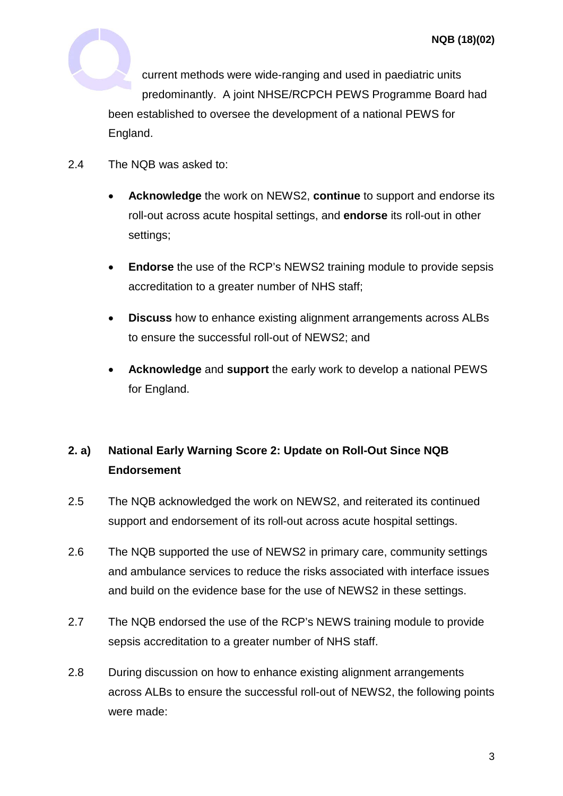

current methods were wide-ranging and used in paediatric units predominantly. A joint NHSE/RCPCH PEWS Programme Board had been established to oversee the development of a national PEWS for England.

- 2.4 The NQB was asked to:
	- **Acknowledge** the work on NEWS2, **continue** to support and endorse its roll-out across acute hospital settings, and **endorse** its roll-out in other settings:
	- **Endorse** the use of the RCP's NEWS2 training module to provide sepsis accreditation to a greater number of NHS staff;
	- **Discuss** how to enhance existing alignment arrangements across ALBs to ensure the successful roll-out of NEWS2; and
	- **Acknowledge** and **support** the early work to develop a national PEWS for England.

# **2. a) National Early Warning Score 2: Update on Roll-Out Since NQB Endorsement**

- 2.5 The NQB acknowledged the work on NEWS2, and reiterated its continued support and endorsement of its roll-out across acute hospital settings.
- 2.6 The NQB supported the use of NEWS2 in primary care, community settings and ambulance services to reduce the risks associated with interface issues and build on the evidence base for the use of NEWS2 in these settings.
- 2.7 The NQB endorsed the use of the RCP's NEWS training module to provide sepsis accreditation to a greater number of NHS staff.
- 2.8 During discussion on how to enhance existing alignment arrangements across ALBs to ensure the successful roll-out of NEWS2, the following points were made: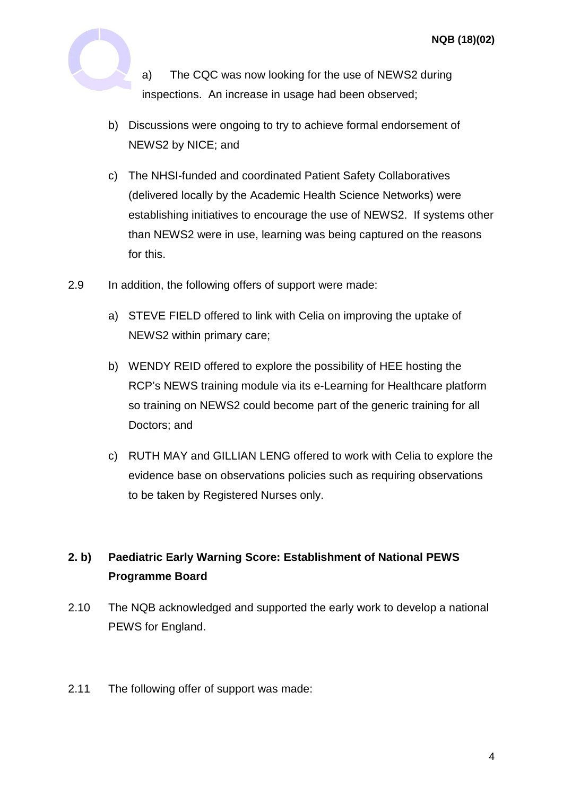

a) The CQC was now looking for the use of NEWS2 during inspections. An increase in usage had been observed;

- b) Discussions were ongoing to try to achieve formal endorsement of NEWS2 by NICE; and
- c) The NHSI-funded and coordinated Patient Safety Collaboratives (delivered locally by the Academic Health Science Networks) were establishing initiatives to encourage the use of NEWS2. If systems other than NEWS2 were in use, learning was being captured on the reasons for this.
- 2.9 In addition, the following offers of support were made:
	- a) STEVE FIELD offered to link with Celia on improving the uptake of NEWS2 within primary care;
	- b) WENDY REID offered to explore the possibility of HEE hosting the RCP's NEWS training module via its e-Learning for Healthcare platform so training on NEWS2 could become part of the generic training for all Doctors; and
	- c) RUTH MAY and GILLIAN LENG offered to work with Celia to explore the evidence base on observations policies such as requiring observations to be taken by Registered Nurses only.

# **2. b) Paediatric Early Warning Score: Establishment of National PEWS Programme Board**

- 2.10 The NQB acknowledged and supported the early work to develop a national PEWS for England.
- 2.11 The following offer of support was made: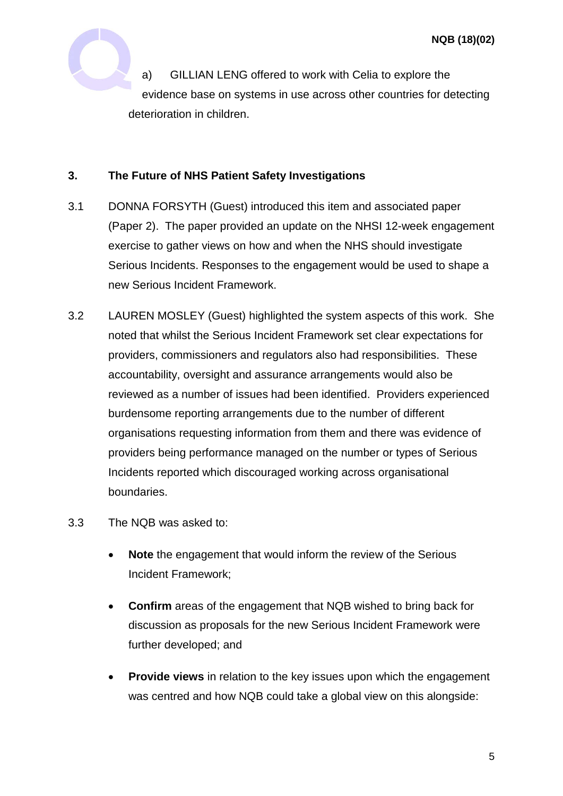

#### **3. The Future of NHS Patient Safety Investigations**

- 3.1 DONNA FORSYTH (Guest) introduced this item and associated paper (Paper 2). The paper provided an update on the NHSI 12-week engagement exercise to gather views on how and when the NHS should investigate Serious Incidents. Responses to the engagement would be used to shape a new Serious Incident Framework.
- 3.2 LAUREN MOSLEY (Guest) highlighted the system aspects of this work. She noted that whilst the Serious Incident Framework set clear expectations for providers, commissioners and regulators also had responsibilities. These accountability, oversight and assurance arrangements would also be reviewed as a number of issues had been identified. Providers experienced burdensome reporting arrangements due to the number of different organisations requesting information from them and there was evidence of providers being performance managed on the number or types of Serious Incidents reported which discouraged working across organisational boundaries.
- 3.3 The NQB was asked to:
	- **Note** the engagement that would inform the review of the Serious Incident Framework;
	- **Confirm** areas of the engagement that NQB wished to bring back for discussion as proposals for the new Serious Incident Framework were further developed; and
	- **Provide views** in relation to the key issues upon which the engagement was centred and how NQB could take a global view on this alongside: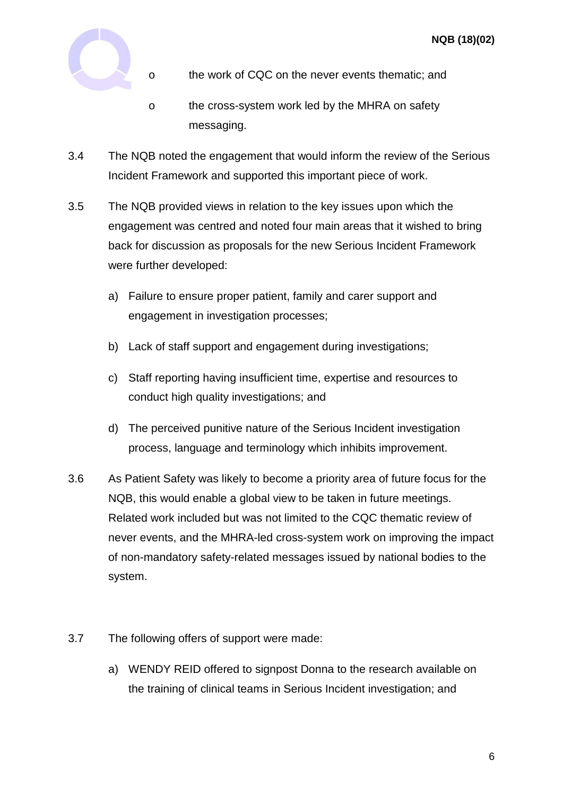

- o the work of CQC on the never events thematic; and
- o the cross-system work led by the MHRA on safety messaging.
- 3.4 The NQB noted the engagement that would inform the review of the Serious Incident Framework and supported this important piece of work.
- 3.5 The NQB provided views in relation to the key issues upon which the engagement was centred and noted four main areas that it wished to bring back for discussion as proposals for the new Serious Incident Framework were further developed:
	- a) Failure to ensure proper patient, family and carer support and engagement in investigation processes;
	- b) Lack of staff support and engagement during investigations;
	- c) Staff reporting having insufficient time, expertise and resources to conduct high quality investigations; and
	- d) The perceived punitive nature of the Serious Incident investigation process, language and terminology which inhibits improvement.
- 3.6 As Patient Safety was likely to become a priority area of future focus for the NQB, this would enable a global view to be taken in future meetings. Related work included but was not limited to the CQC thematic review of never events, and the MHRA-led cross-system work on improving the impact of non-mandatory safety-related messages issued by national bodies to the system.
- 3.7 The following offers of support were made:
	- a) WENDY REID offered to signpost Donna to the research available on the training of clinical teams in Serious Incident investigation; and